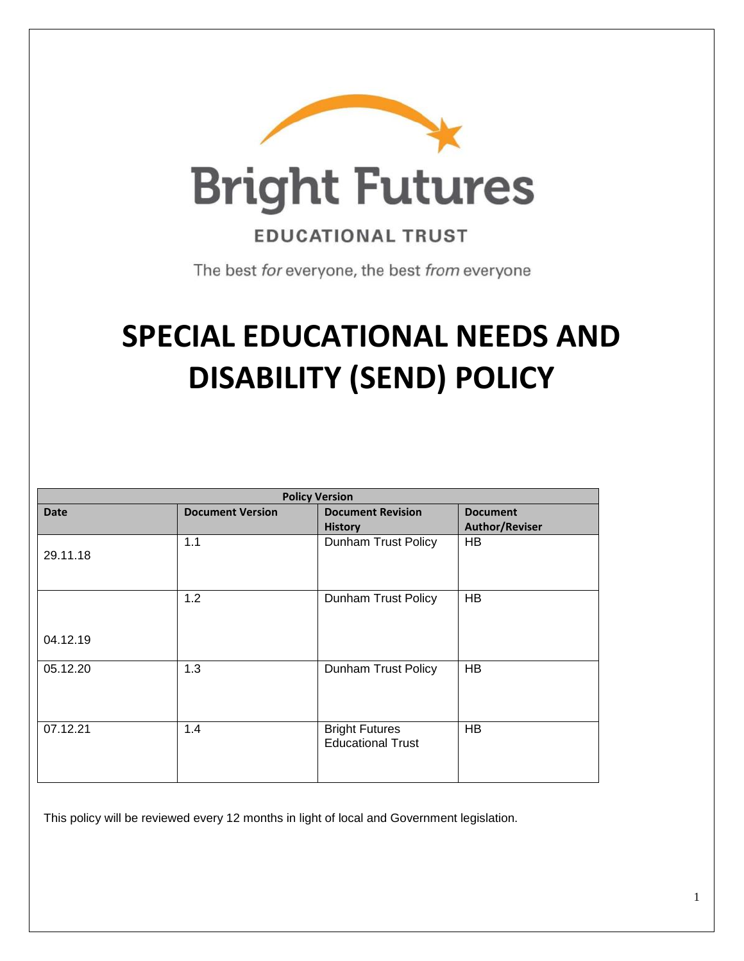

**EDUCATIONAL TRUST** 

The best for everyone, the best from everyone

# **SPECIAL EDUCATIONAL NEEDS AND DISABILITY (SEND) POLICY**

| <b>Policy Version</b> |                         |                          |                       |
|-----------------------|-------------------------|--------------------------|-----------------------|
| <b>Date</b>           | <b>Document Version</b> | <b>Document Revision</b> | <b>Document</b>       |
|                       |                         | <b>History</b>           | <b>Author/Reviser</b> |
|                       | 1.1                     | Dunham Trust Policy      | <b>HB</b>             |
| 29.11.18              |                         |                          |                       |
|                       |                         |                          |                       |
|                       | 1.2                     |                          |                       |
|                       |                         | Dunham Trust Policy      | <b>HB</b>             |
|                       |                         |                          |                       |
| 04.12.19              |                         |                          |                       |
|                       |                         |                          |                       |
| 05.12.20              | 1.3                     | Dunham Trust Policy      | <b>HB</b>             |
|                       |                         |                          |                       |
|                       |                         |                          |                       |
|                       |                         |                          |                       |
| 07.12.21              | 1.4                     | <b>Bright Futures</b>    | <b>HB</b>             |
|                       |                         | <b>Educational Trust</b> |                       |
|                       |                         |                          |                       |
|                       |                         |                          |                       |

This policy will be reviewed every 12 months in light of local and Government legislation.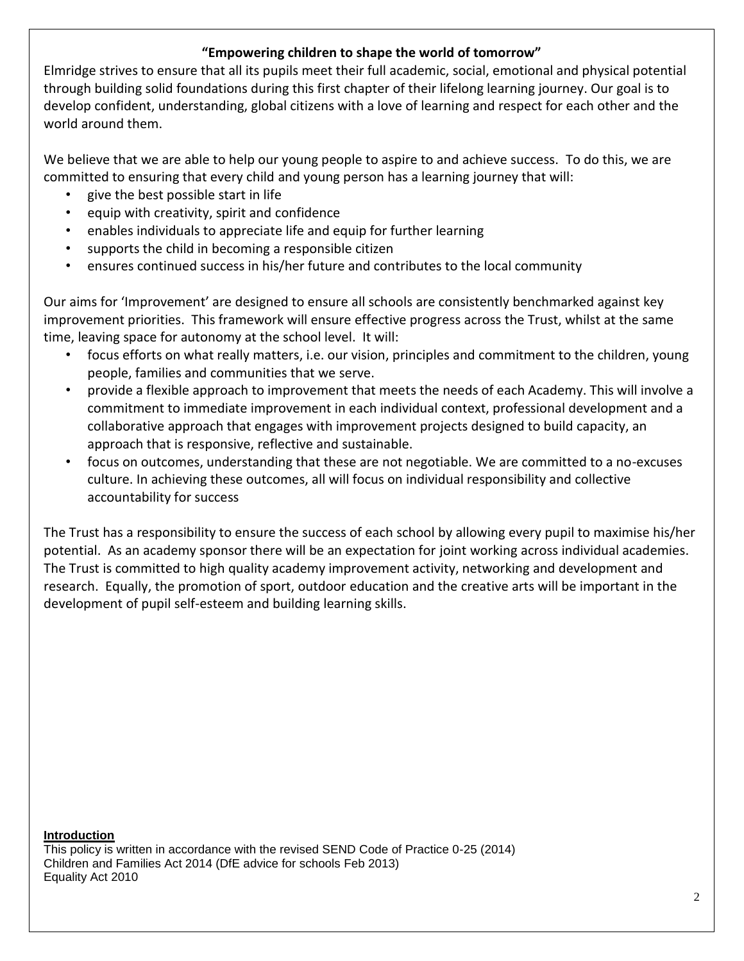# **"Empowering children to shape the world of tomorrow"**

Elmridge strives to ensure that all its pupils meet their full academic, social, emotional and physical potential through building solid foundations during this first chapter of their lifelong learning journey. Our goal is to develop confident, understanding, global citizens with a love of learning and respect for each other and the world around them.

We believe that we are able to help our young people to aspire to and achieve success. To do this, we are committed to ensuring that every child and young person has a learning journey that will:

- give the best possible start in life
- equip with creativity, spirit and confidence
- enables individuals to appreciate life and equip for further learning
- supports the child in becoming a responsible citizen
- ensures continued success in his/her future and contributes to the local community

Our aims for 'Improvement' are designed to ensure all schools are consistently benchmarked against key improvement priorities. This framework will ensure effective progress across the Trust, whilst at the same time, leaving space for autonomy at the school level. It will:

- focus efforts on what really matters, i.e. our vision, principles and commitment to the children, young people, families and communities that we serve.
- provide a flexible approach to improvement that meets the needs of each Academy. This will involve a commitment to immediate improvement in each individual context, professional development and a collaborative approach that engages with improvement projects designed to build capacity, an approach that is responsive, reflective and sustainable.
- focus on outcomes, understanding that these are not negotiable. We are committed to a no-excuses culture. In achieving these outcomes, all will focus on individual responsibility and collective accountability for success

The Trust has a responsibility to ensure the success of each school by allowing every pupil to maximise his/her potential. As an academy sponsor there will be an expectation for joint working across individual academies. The Trust is committed to high quality academy improvement activity, networking and development and research. Equally, the promotion of sport, outdoor education and the creative arts will be important in the development of pupil self-esteem and building learning skills.

**Introduction**  This policy is written in accordance with the revised SEND Code of Practice 0-25 (2014) Children and Families Act 2014 (DfE advice for schools Feb 2013) Equality Act 2010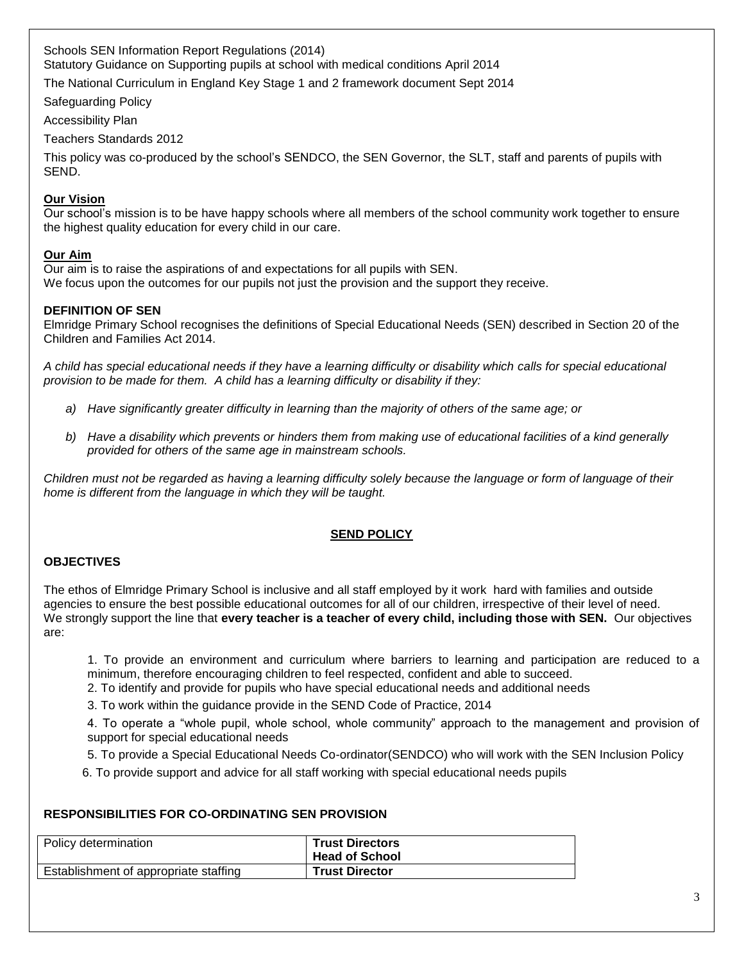Schools SEN Information Report Regulations (2014) Statutory Guidance on Supporting pupils at school with medical conditions April 2014

The National Curriculum in England Key Stage 1 and 2 framework document Sept 2014

Safeguarding Policy

Accessibility Plan

Teachers Standards 2012

This policy was co-produced by the school's SENDCO, the SEN Governor, the SLT, staff and parents of pupils with SEND.

## **Our Vision**

Our school's mission is to be have happy schools where all members of the school community work together to ensure the highest quality education for every child in our care.

### **Our Aim**

Our aim is to raise the aspirations of and expectations for all pupils with SEN. We focus upon the outcomes for our pupils not just the provision and the support they receive.

## **DEFINITION OF SEN**

Elmridge Primary School recognises the definitions of Special Educational Needs (SEN) described in Section 20 of the Children and Families Act 2014.

*A child has special educational needs if they have a learning difficulty or disability which calls for special educational provision to be made for them. A child has a learning difficulty or disability if they:*

- *a) Have significantly greater difficulty in learning than the majority of others of the same age; or*
- *b) Have a disability which prevents or hinders them from making use of educational facilities of a kind generally provided for others of the same age in mainstream schools.*

*Children must not be regarded as having a learning difficulty solely because the language or form of language of their home is different from the language in which they will be taught.*

## **SEND POLICY**

## **OBJECTIVES**

The ethos of Elmridge Primary School is inclusive and all staff employed by it work hard with families and outside agencies to ensure the best possible educational outcomes for all of our children, irrespective of their level of need. We strongly support the line that **every teacher is a teacher of every child, including those with SEN.** Our objectives are:

1. To provide an environment and curriculum where barriers to learning and participation are reduced to a minimum, therefore encouraging children to feel respected, confident and able to succeed.

2. To identify and provide for pupils who have special educational needs and additional needs

3. To work within the guidance provide in the SEND Code of Practice, 2014

4. To operate a "whole pupil, whole school, whole community" approach to the management and provision of support for special educational needs

5. To provide a Special Educational Needs Co-ordinator(SENDCO) who will work with the SEN Inclusion Policy

6. To provide support and advice for all staff working with special educational needs pupils

## **RESPONSIBILITIES FOR CO-ORDINATING SEN PROVISION**

| Policy determination                  | <b>Trust Directors</b><br><b>Head of School</b> |
|---------------------------------------|-------------------------------------------------|
| Establishment of appropriate staffing | <b>Trust Director</b>                           |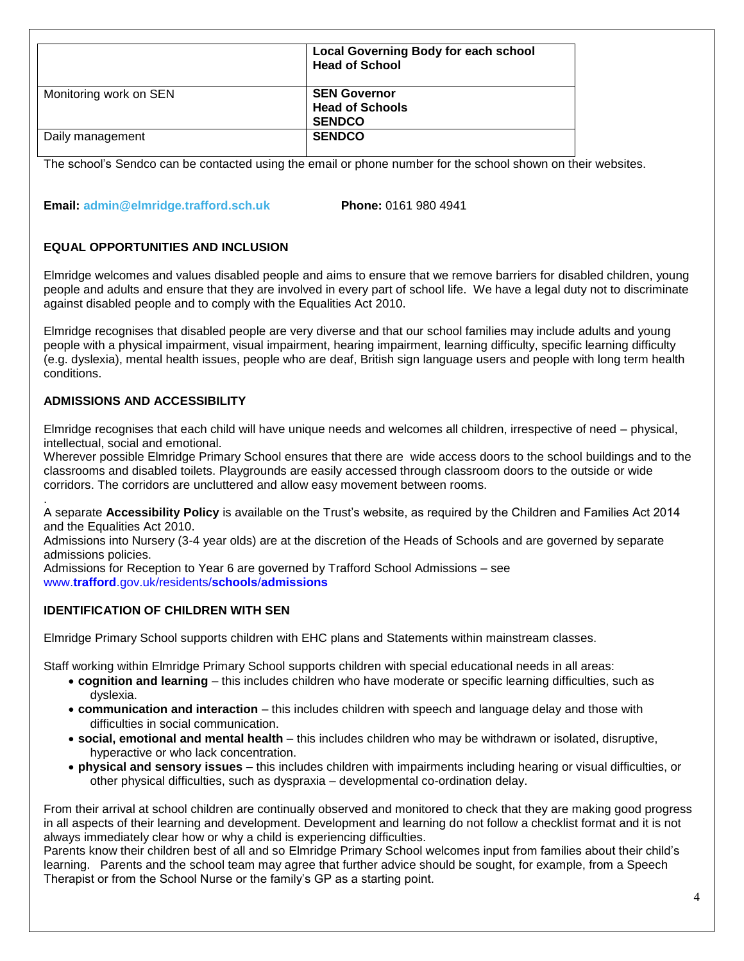|                        | <b>Local Governing Body for each school</b><br><b>Head of School</b> |
|------------------------|----------------------------------------------------------------------|
| Monitoring work on SEN | <b>SEN Governor</b><br><b>Head of Schools</b><br><b>SENDCO</b>       |
| Daily management       | <b>SENDCO</b>                                                        |

The school's Sendco can be contacted using the email or phone number for the school shown on their websites.

**Email: admin@elmridge.trafford.sch.uk Phone:** 0161 980 4941

## **EQUAL OPPORTUNITIES AND INCLUSION**

Elmridge welcomes and values disabled people and aims to ensure that we remove barriers for disabled children, young people and adults and ensure that they are involved in every part of school life. We have a legal duty not to discriminate against disabled people and to comply with the Equalities Act 2010.

Elmridge recognises that disabled people are very diverse and that our school families may include adults and young people with a physical impairment, visual impairment, hearing impairment, learning difficulty, specific learning difficulty (e.g. dyslexia), mental health issues, people who are deaf, British sign language users and people with long term health conditions.

## **ADMISSIONS AND ACCESSIBILITY**

.

Elmridge recognises that each child will have unique needs and welcomes all children, irrespective of need – physical, intellectual, social and emotional.

Wherever possible Elmridge Primary School ensures that there are wide access doors to the school buildings and to the classrooms and disabled toilets. Playgrounds are easily accessed through classroom doors to the outside or wide corridors. The corridors are uncluttered and allow easy movement between rooms.

A separate **Accessibility Policy** is available on the Trust's website, as required by the Children and Families Act 2014 and the Equalities Act 2010.

Admissions into Nursery (3-4 year olds) are at the discretion of the Heads of Schools and are governed by separate admissions policies.

Admissions for Reception to Year 6 are governed by Trafford School Admissions – see www.**trafford**.gov.uk/residents/**schools**/**admissions**

## **IDENTIFICATION OF CHILDREN WITH SEN**

Elmridge Primary School supports children with EHC plans and Statements within mainstream classes.

Staff working within Elmridge Primary School supports children with special educational needs in all areas:

- **cognition and learning** this includes children who have moderate or specific learning difficulties, such as dyslexia.
- **communication and interaction** this includes children with speech and language delay and those with difficulties in social communication.
- **social, emotional and mental health** this includes children who may be withdrawn or isolated, disruptive, hyperactive or who lack concentration.
- **physical and sensory issues –** this includes children with impairments including hearing or visual difficulties, or other physical difficulties, such as dyspraxia – developmental co-ordination delay.

From their arrival at school children are continually observed and monitored to check that they are making good progress in all aspects of their learning and development. Development and learning do not follow a checklist format and it is not always immediately clear how or why a child is experiencing difficulties.

Parents know their children best of all and so Elmridge Primary School welcomes input from families about their child's learning. Parents and the school team may agree that further advice should be sought, for example, from a Speech Therapist or from the School Nurse or the family's GP as a starting point.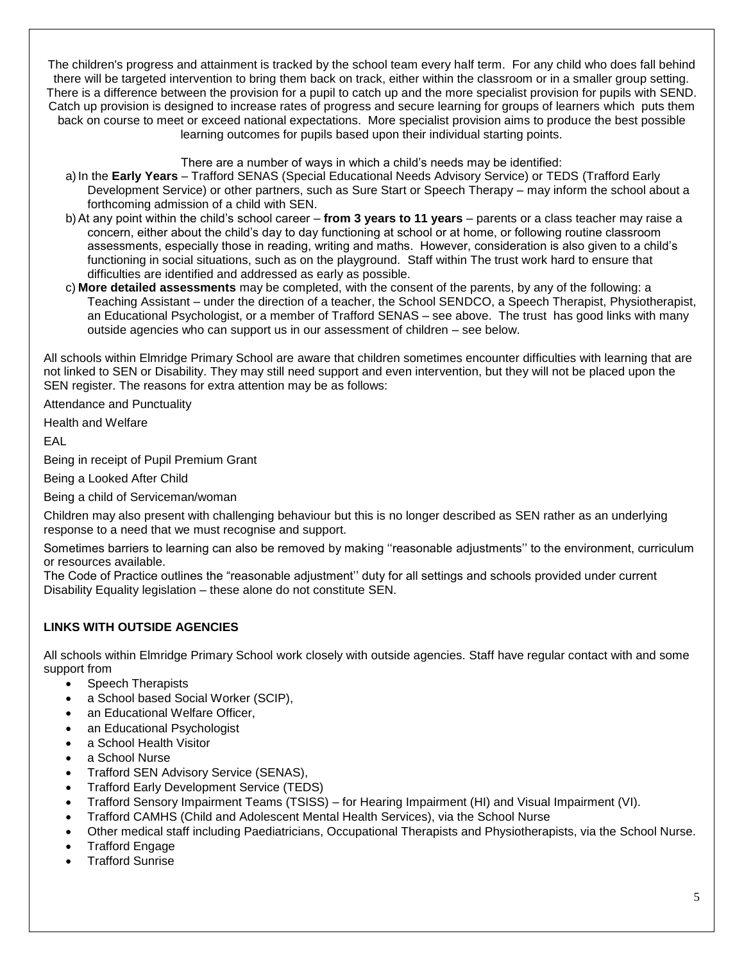The children's progress and attainment is tracked by the school team every half term. For any child who does fall behind there will be targeted intervention to bring them back on track, either within the classroom or in a smaller group setting. There is a difference between the provision for a pupil to catch up and the more specialist provision for pupils with SEND. Catch up provision is designed to increase rates of progress and secure learning for groups of learners which puts them back on course to meet or exceed national expectations. More specialist provision aims to produce the best possible learning outcomes for pupils based upon their individual starting points.

#### There are a number of ways in which a child's needs may be identified:

- a)In the **Early Years** Trafford SENAS (Special Educational Needs Advisory Service) or TEDS (Trafford Early Development Service) or other partners, such as Sure Start or Speech Therapy – may inform the school about a forthcoming admission of a child with SEN.
- b)At any point within the child's school career **from 3 years to 11 years** parents or a class teacher may raise a concern, either about the child's day to day functioning at school or at home, or following routine classroom assessments, especially those in reading, writing and maths. However, consideration is also given to a child's functioning in social situations, such as on the playground. Staff within The trust work hard to ensure that difficulties are identified and addressed as early as possible.
- c) **More detailed assessments** may be completed, with the consent of the parents, by any of the following: a Teaching Assistant – under the direction of a teacher, the School SENDCO, a Speech Therapist, Physiotherapist, an Educational Psychologist, or a member of Trafford SENAS – see above. The trust has good links with many outside agencies who can support us in our assessment of children – see below.

All schools within Elmridge Primary School are aware that children sometimes encounter difficulties with learning that are not linked to SEN or Disability. They may still need support and even intervention, but they will not be placed upon the SEN register. The reasons for extra attention may be as follows:

Attendance and Punctuality

Health and Welfare

EAL

Being in receipt of Pupil Premium Grant

Being a Looked After Child

Being a child of Serviceman/woman

Children may also present with challenging behaviour but this is no longer described as SEN rather as an underlying response to a need that we must recognise and support.

Sometimes barriers to learning can also be removed by making ''reasonable adjustments'' to the environment, curriculum or resources available.

The Code of Practice outlines the "reasonable adjustment'' duty for all settings and schools provided under current Disability Equality legislation – these alone do not constitute SEN.

## **LINKS WITH OUTSIDE AGENCIES**

All schools within Elmridge Primary School work closely with outside agencies. Staff have regular contact with and some support from

- Speech Therapists
- a School based Social Worker (SCIP),
- an Educational Welfare Officer,
- an Educational Psychologist
- a School Health Visitor
- a School Nurse
- Trafford SEN Advisory Service (SENAS),
- Trafford Early Development Service (TEDS)
- Trafford Sensory Impairment Teams (TSISS) for Hearing Impairment (HI) and Visual Impairment (VI).
- Trafford CAMHS (Child and Adolescent Mental Health Services), via the School Nurse
- Other medical staff including Paediatricians, Occupational Therapists and Physiotherapists, via the School Nurse.
- Trafford Engage
- Trafford Sunrise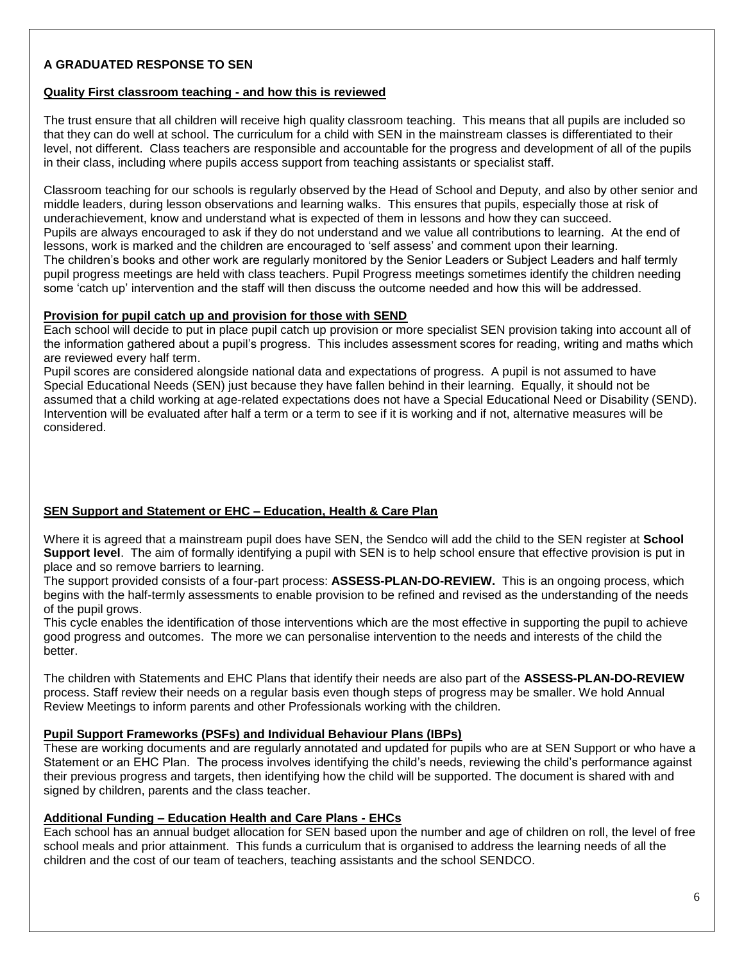## **A GRADUATED RESPONSE TO SEN**

#### **Quality First classroom teaching - and how this is reviewed**

The trust ensure that all children will receive high quality classroom teaching. This means that all pupils are included so that they can do well at school. The curriculum for a child with SEN in the mainstream classes is differentiated to their level, not different. Class teachers are responsible and accountable for the progress and development of all of the pupils in their class, including where pupils access support from teaching assistants or specialist staff.

Classroom teaching for our schools is regularly observed by the Head of School and Deputy, and also by other senior and middle leaders, during lesson observations and learning walks. This ensures that pupils, especially those at risk of underachievement, know and understand what is expected of them in lessons and how they can succeed. Pupils are always encouraged to ask if they do not understand and we value all contributions to learning. At the end of lessons, work is marked and the children are encouraged to 'self assess' and comment upon their learning. The children's books and other work are regularly monitored by the Senior Leaders or Subject Leaders and half termly pupil progress meetings are held with class teachers. Pupil Progress meetings sometimes identify the children needing some 'catch up' intervention and the staff will then discuss the outcome needed and how this will be addressed.

#### **Provision for pupil catch up and provision for those with SEND**

Each school will decide to put in place pupil catch up provision or more specialist SEN provision taking into account all of the information gathered about a pupil's progress. This includes assessment scores for reading, writing and maths which are reviewed every half term.

Pupil scores are considered alongside national data and expectations of progress. A pupil is not assumed to have Special Educational Needs (SEN) just because they have fallen behind in their learning. Equally, it should not be assumed that a child working at age-related expectations does not have a Special Educational Need or Disability (SEND). Intervention will be evaluated after half a term or a term to see if it is working and if not, alternative measures will be considered.

### **SEN Support and Statement or EHC – Education, Health & Care Plan**

Where it is agreed that a mainstream pupil does have SEN, the Sendco will add the child to the SEN register at **School Support level**. The aim of formally identifying a pupil with SEN is to help school ensure that effective provision is put in place and so remove barriers to learning.

The support provided consists of a four-part process: **ASSESS-PLAN-DO-REVIEW.** This is an ongoing process, which begins with the half-termly assessments to enable provision to be refined and revised as the understanding of the needs of the pupil grows.

This cycle enables the identification of those interventions which are the most effective in supporting the pupil to achieve good progress and outcomes. The more we can personalise intervention to the needs and interests of the child the better.

The children with Statements and EHC Plans that identify their needs are also part of the **ASSESS-PLAN-DO-REVIEW** process. Staff review their needs on a regular basis even though steps of progress may be smaller. We hold Annual Review Meetings to inform parents and other Professionals working with the children.

#### **Pupil Support Frameworks (PSFs) and Individual Behaviour Plans (IBPs)**

These are working documents and are regularly annotated and updated for pupils who are at SEN Support or who have a Statement or an EHC Plan. The process involves identifying the child's needs, reviewing the child's performance against their previous progress and targets, then identifying how the child will be supported. The document is shared with and signed by children, parents and the class teacher.

### **Additional Funding – Education Health and Care Plans - EHCs**

Each school has an annual budget allocation for SEN based upon the number and age of children on roll, the level of free school meals and prior attainment. This funds a curriculum that is organised to address the learning needs of all the children and the cost of our team of teachers, teaching assistants and the school SENDCO.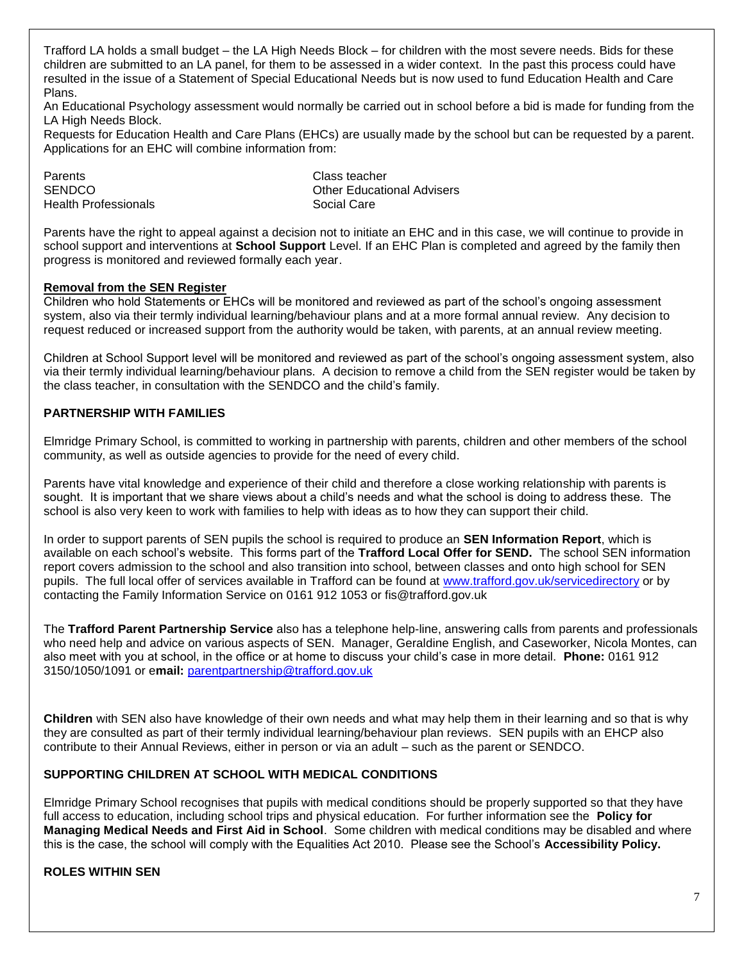Trafford LA holds a small budget – the LA High Needs Block – for children with the most severe needs. Bids for these children are submitted to an LA panel, for them to be assessed in a wider context. In the past this process could have resulted in the issue of a Statement of Special Educational Needs but is now used to fund Education Health and Care Plans.

An Educational Psychology assessment would normally be carried out in school before a bid is made for funding from the LA High Needs Block.

Requests for Education Health and Care Plans (EHCs) are usually made by the school but can be requested by a parent. Applications for an EHC will combine information from:

Parents **Class** teacher Health Professionals **Social Care** 

SENDCO **CONTROLLER SENDCO Other Educational Advisers** 

Parents have the right to appeal against a decision not to initiate an EHC and in this case, we will continue to provide in school support and interventions at **School Support** Level. If an EHC Plan is completed and agreed by the family then progress is monitored and reviewed formally each year.

#### **Removal from the SEN Register**

Children who hold Statements or EHCs will be monitored and reviewed as part of the school's ongoing assessment system, also via their termly individual learning/behaviour plans and at a more formal annual review. Any decision to request reduced or increased support from the authority would be taken, with parents, at an annual review meeting.

Children at School Support level will be monitored and reviewed as part of the school's ongoing assessment system, also via their termly individual learning/behaviour plans. A decision to remove a child from the SEN register would be taken by the class teacher, in consultation with the SENDCO and the child's family.

### **PARTNERSHIP WITH FAMILIES**

Elmridge Primary School, is committed to working in partnership with parents, children and other members of the school community, as well as outside agencies to provide for the need of every child.

Parents have vital knowledge and experience of their child and therefore a close working relationship with parents is sought. It is important that we share views about a child's needs and what the school is doing to address these. The school is also very keen to work with families to help with ideas as to how they can support their child.

In order to support parents of SEN pupils the school is required to produce an **SEN Information Report**, which is available on each school's website. This forms part of the **Trafford Local Offer for SEND.** The school SEN information report covers admission to the school and also transition into school, between classes and onto high school for SEN pupils. The full local offer of services available in Trafford can be found at [www.trafford.gov.uk/servicedirectory](http://www.trafford.gov.uk/servicedirectory) or by contacting the Family Information Service on 0161 912 1053 or fis@trafford.gov.uk

The **Trafford Parent Partnership Service** also has a telephone help-line, answering calls from parents and professionals who need help and advice on various aspects of SEN. Manager, Geraldine English, and Caseworker, Nicola Montes, can also meet with you at school, in the office or at home to discuss your child's case in more detail. **Phone:** 0161 912 3150/1050/1091 or e**mail:** [parentpartnership@trafford.gov.uk](mailto:parentpartnership@trafford.gov.uk)

**Children** with SEN also have knowledge of their own needs and what may help them in their learning and so that is why they are consulted as part of their termly individual learning/behaviour plan reviews. SEN pupils with an EHCP also contribute to their Annual Reviews, either in person or via an adult – such as the parent or SENDCO.

### **SUPPORTING CHILDREN AT SCHOOL WITH MEDICAL CONDITIONS**

Elmridge Primary School recognises that pupils with medical conditions should be properly supported so that they have full access to education, including school trips and physical education. For further information see the **Policy for Managing Medical Needs and First Aid in School**. Some children with medical conditions may be disabled and where this is the case, the school will comply with the Equalities Act 2010. Please see the School's **Accessibility Policy.**

### **ROLES WITHIN SEN**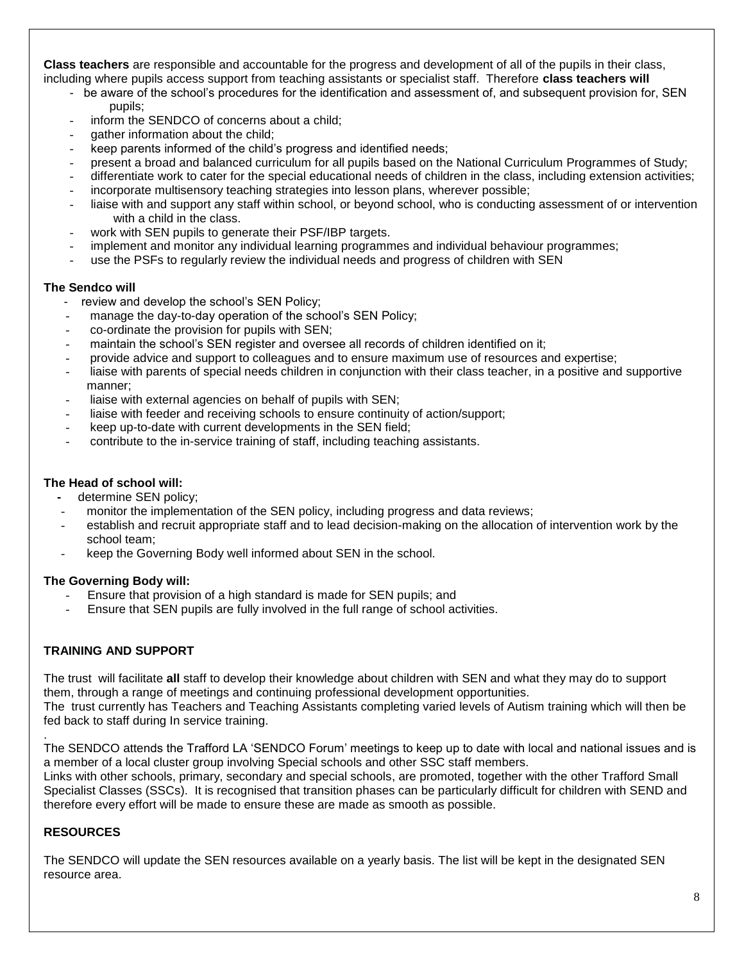**Class teachers** are responsible and accountable for the progress and development of all of the pupils in their class, including where pupils access support from teaching assistants or specialist staff. Therefore **class teachers will**

- be aware of the school's procedures for the identification and assessment of, and subsequent provision for, SEN pupils;
- inform the SENDCO of concerns about a child;
- qather information about the child;
- keep parents informed of the child's progress and identified needs;
- present a broad and balanced curriculum for all pupils based on the National Curriculum Programmes of Study;
- differentiate work to cater for the special educational needs of children in the class, including extension activities;
- incorporate multisensory teaching strategies into lesson plans, wherever possible;
- liaise with and support any staff within school, or beyond school, who is conducting assessment of or intervention with a child in the class.
- work with SEN pupils to generate their PSF/IBP targets.
- implement and monitor any individual learning programmes and individual behaviour programmes;
- use the PSFs to regularly review the individual needs and progress of children with SEN

#### **The Sendco will**

- review and develop the school's SEN Policy;
- manage the day-to-day operation of the school's SEN Policy;
- co-ordinate the provision for pupils with SEN;
- maintain the school's SEN register and oversee all records of children identified on it;
- provide advice and support to colleagues and to ensure maximum use of resources and expertise;
- liaise with parents of special needs children in conjunction with their class teacher, in a positive and supportive manner;
- liaise with external agencies on behalf of pupils with SEN;
- liaise with feeder and receiving schools to ensure continuity of action/support;
- keep up-to-date with current developments in the SEN field;
- contribute to the in-service training of staff, including teaching assistants.

### **The Head of school will:**

- determine SEN policy:
- monitor the implementation of the SEN policy, including progress and data reviews;
- establish and recruit appropriate staff and to lead decision-making on the allocation of intervention work by the school team;
- keep the Governing Body well informed about SEN in the school.

### **The Governing Body will:**

- Ensure that provision of a high standard is made for SEN pupils; and
- Ensure that SEN pupils are fully involved in the full range of school activities.

### **TRAINING AND SUPPORT**

The trust will facilitate **all** staff to develop their knowledge about children with SEN and what they may do to support them, through a range of meetings and continuing professional development opportunities. The trust currently has Teachers and Teaching Assistants completing varied levels of Autism training which will then be fed back to staff during In service training.

The SENDCO attends the Trafford LA 'SENDCO Forum' meetings to keep up to date with local and national issues and is a member of a local cluster group involving Special schools and other SSC staff members. Links with other schools, primary, secondary and special schools, are promoted, together with the other Trafford Small Specialist Classes (SSCs). It is recognised that transition phases can be particularly difficult for children with SEND and therefore every effort will be made to ensure these are made as smooth as possible.

## **RESOURCES**

.

The SENDCO will update the SEN resources available on a yearly basis. The list will be kept in the designated SEN resource area.